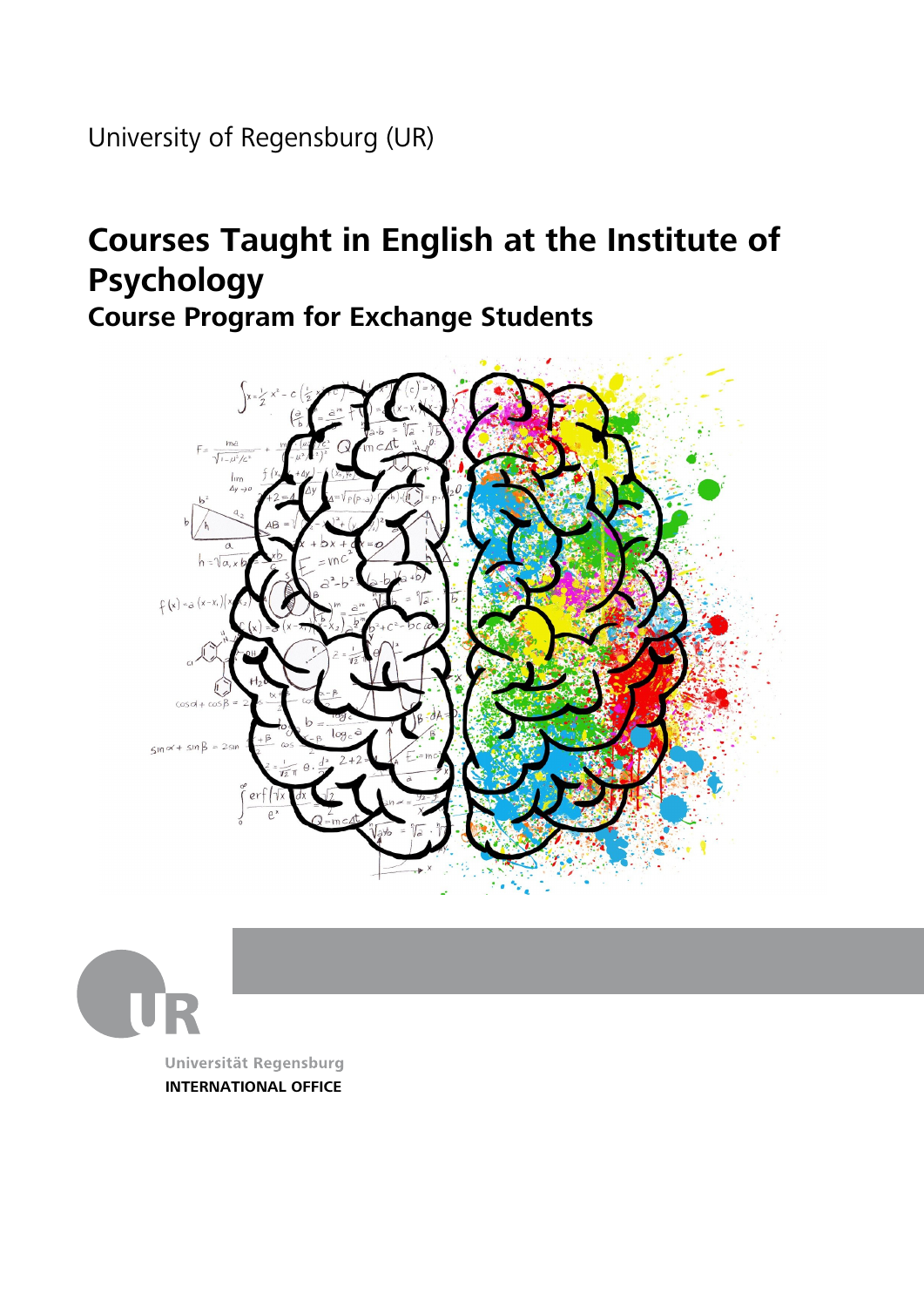University of Regensburg (UR)

## **Courses Taught in English at the Institute of Psychology**

**Course Program for Exchange Students**





**INTERNATIONAL OFFICE**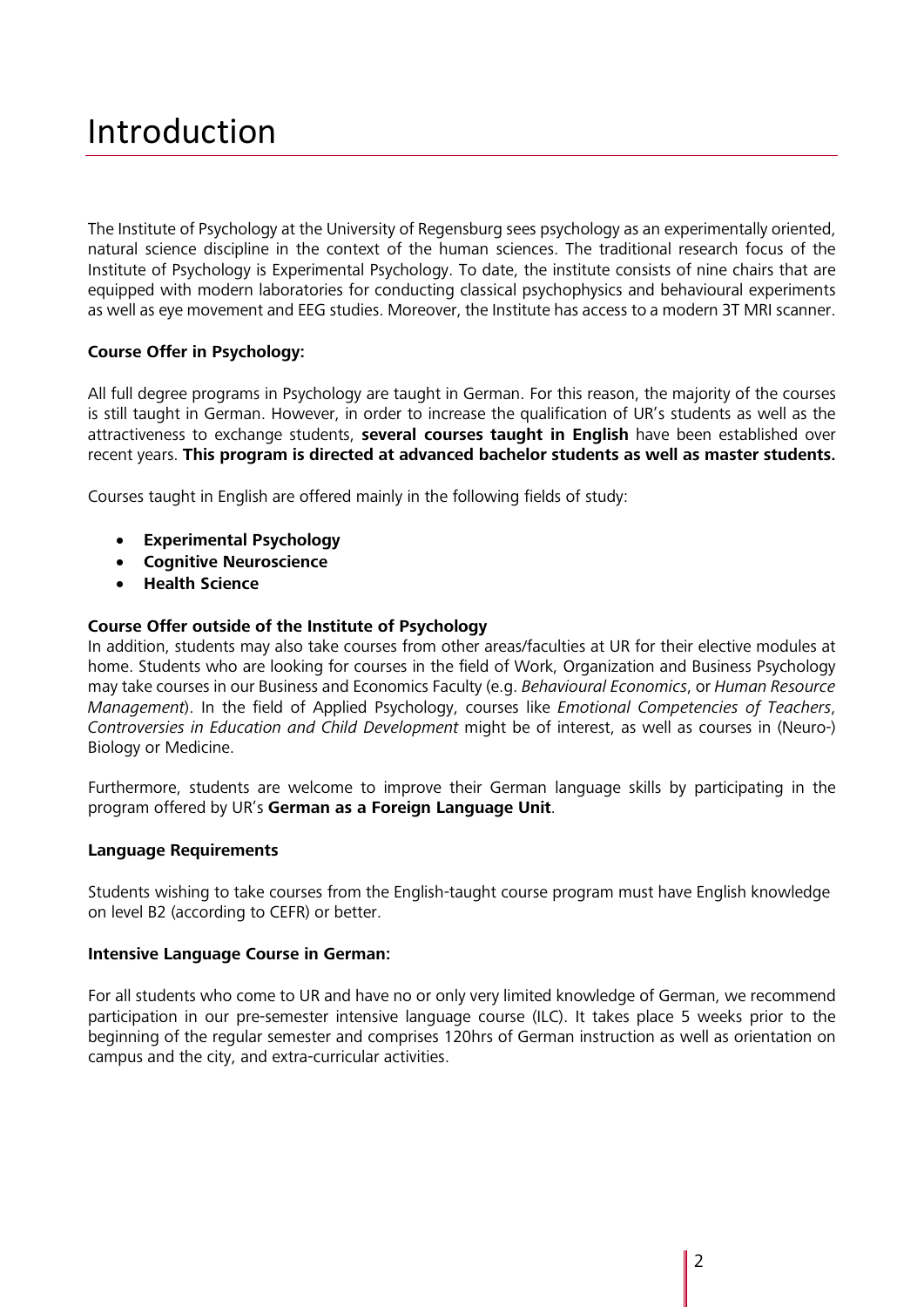## Introduction

The Institute of Psychology at the University of Regensburg sees psychology as an experimentally oriented, natural science discipline in the context of the human sciences. The traditional research focus of the Institute of Psychology is Experimental Psychology. To date, the institute consists of nine chairs that are equipped with modern laboratories for conducting classical psychophysics and behavioural experiments as well as eye movement and EEG studies. Moreover, the Institute has access to a modern 3T MRI scanner.

#### **Course Offer in Psychology:**

All full degree programs in Psychology are taught in German. For this reason, the majority of the courses is still taught in German. However, in order to increase the qualification of UR's students as well as the attractiveness to exchange students, **several courses taught in English** have been established over recent years. **This program is directed at advanced bachelor students as well as master students.** 

Courses taught in English are offered mainly in the following fields of study:

- **Experimental Psychology**
- **Cognitive Neuroscience**
- **Health Science**

#### **Course Offer outside of the Institute of Psychology**

In addition, students may also take courses from other areas/faculties at UR for their elective modules at home. Students who are looking for courses in the field of Work, Organization and Business Psychology may take courses in our Business and Economics Faculty (e.g. *Behavioural Economics*, or *Human Resource Management*). In the field of Applied Psychology, courses like *Emotional Competencies of Teachers*, *Controversies in Education and Child Development* might be of interest, as well as courses in (Neuro-) Biology or Medicine.

Furthermore, students are welcome to improve their German language skills by participating in the program offered by UR's **German as a Foreign Language Unit**.

#### **Language Requirements**

Students wishing to take courses from the English-taught course program must have English knowledge on level B2 (according to CEFR) or better.

#### **Intensive Language Course in German:**

For all students who come to UR and have no or only very limited knowledge of German, we recommend participation in our pre-semester intensive language course (ILC). It takes place 5 weeks prior to the beginning of the regular semester and comprises 120hrs of German instruction as well as orientation on campus and the city, and extra-curricular activities.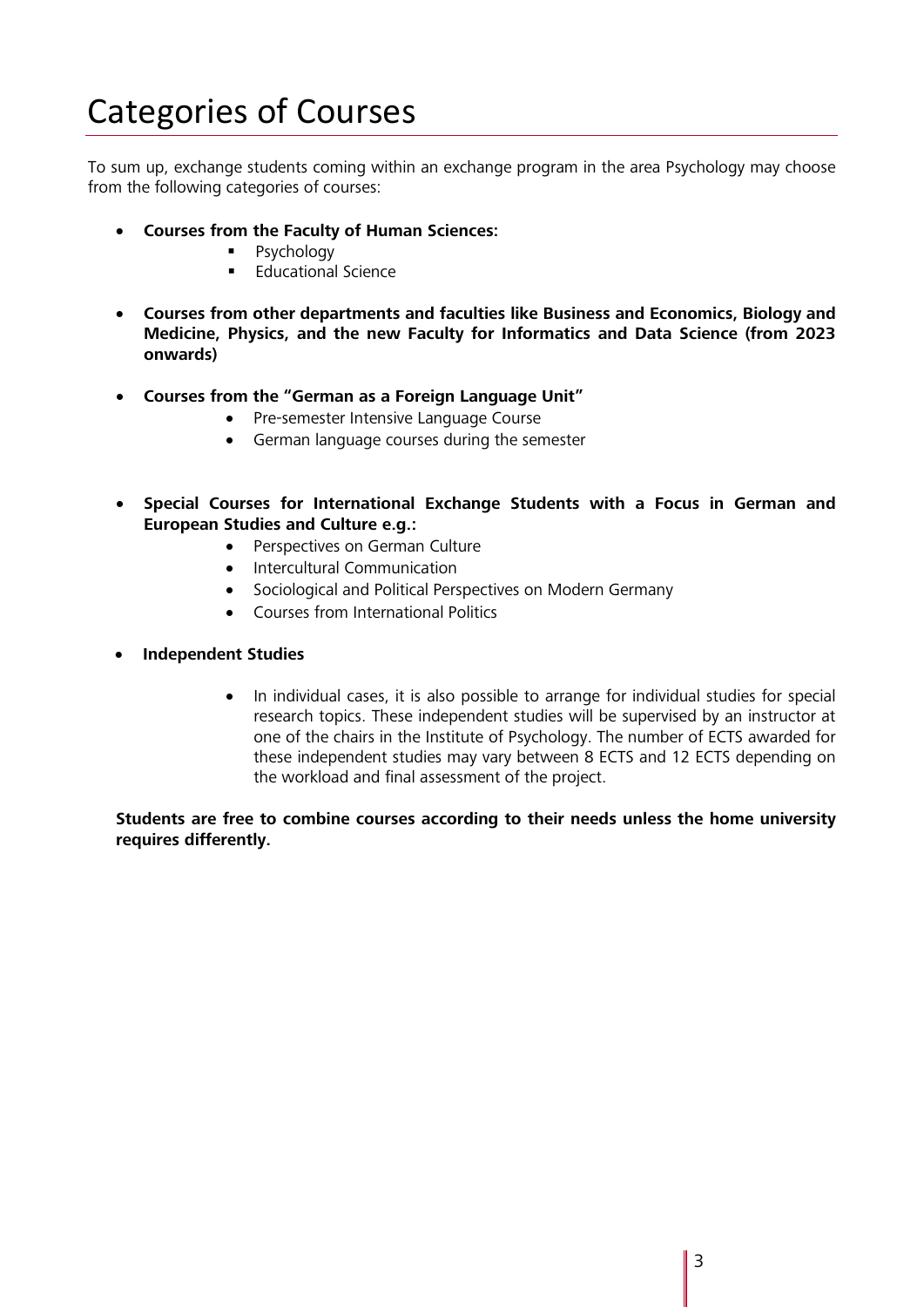# Categories of Courses

To sum up, exchange students coming within an exchange program in the area Psychology may choose from the following categories of courses:

- **Courses from the Faculty of Human Sciences:**
	- **Psychology**
	- $\blacksquare$  Educational Science
- **Courses from other departments and faculties like Business and Economics, Biology and Medicine, Physics, and the new Faculty for Informatics and Data Science (from 2023 onwards)**
- **Courses from the "German as a Foreign Language Unit"**
	- Pre-semester Intensive Language Course
	- German language courses during the semester
- **Special Courses for International Exchange Students with a Focus in German and European Studies and Culture e.g.:**
	- Perspectives on German Culture
	- Intercultural Communication
	- Sociological and Political Perspectives on Modern Germany
	- Courses from International Politics
- **Independent Studies**
	- In individual cases, it is also possible to arrange for individual studies for special research topics. These independent studies will be supervised by an instructor at one of the chairs in the Institute of Psychology. The number of ECTS awarded for these independent studies may vary between 8 ECTS and 12 ECTS depending on the workload and final assessment of the project.

**Students are free to combine courses according to their needs unless the home university requires differently.**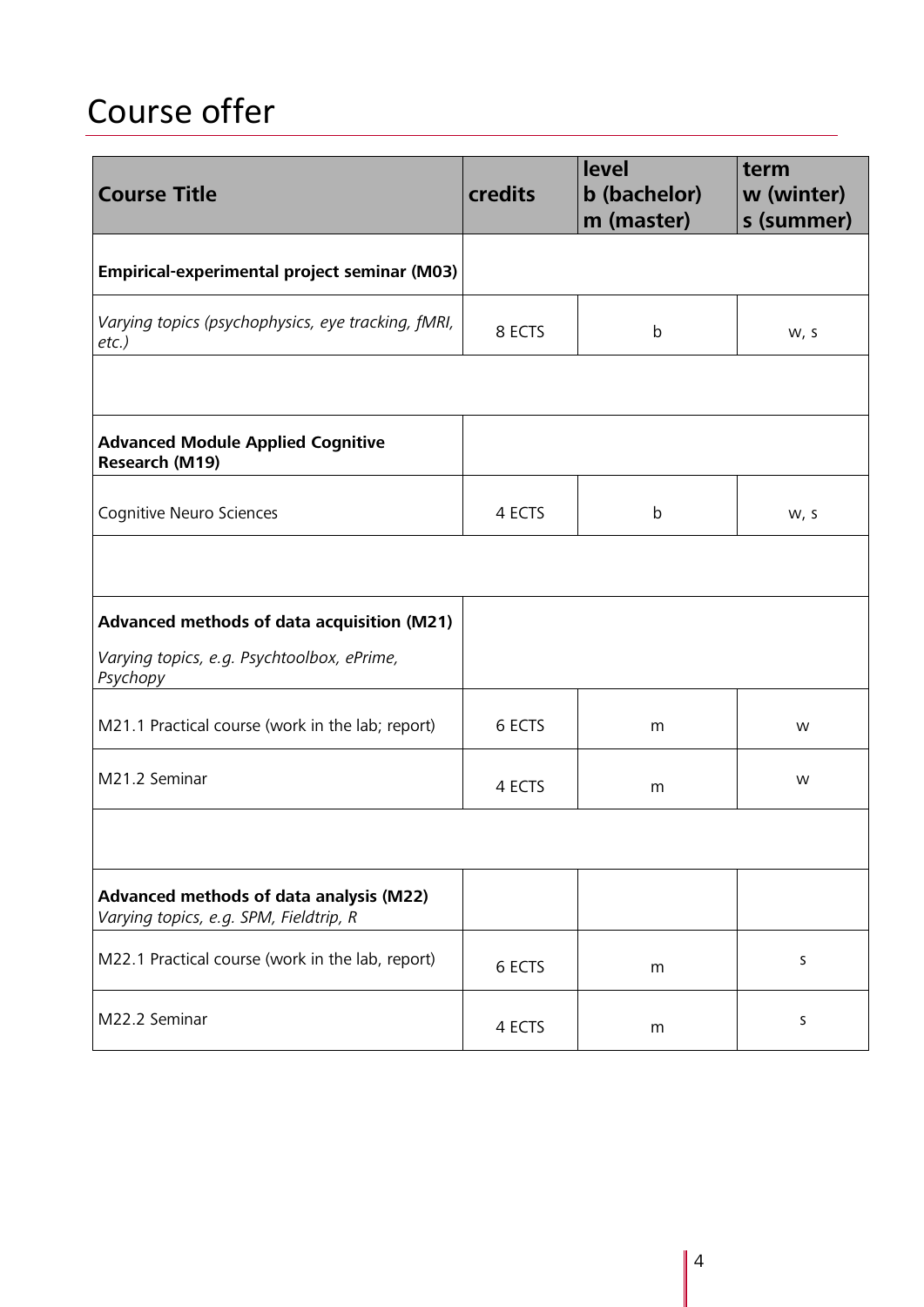# Course offer

| <b>Course Title</b>                                                               | <b>credits</b> | <b>level</b><br>b (bachelor)<br>m (master) | term<br>w (winter)<br>s (summer) |
|-----------------------------------------------------------------------------------|----------------|--------------------------------------------|----------------------------------|
| <b>Empirical-experimental project seminar (M03)</b>                               |                |                                            |                                  |
| Varying topics (psychophysics, eye tracking, fMRI,<br>$etc.$ )                    | 8 ECTS         | $\mathsf b$                                | W, S                             |
|                                                                                   |                |                                            |                                  |
| <b>Advanced Module Applied Cognitive</b><br>Research (M19)                        |                |                                            |                                  |
| Cognitive Neuro Sciences                                                          | 4 ECTS         | $\mathsf b$                                | W, S                             |
|                                                                                   |                |                                            |                                  |
| Advanced methods of data acquisition (M21)                                        |                |                                            |                                  |
| Varying topics, e.g. Psychtoolbox, ePrime,<br>Psychopy                            |                |                                            |                                  |
| M21.1 Practical course (work in the lab; report)                                  | 6 ECTS         | m                                          | W                                |
| M21.2 Seminar                                                                     | 4 ECTS         | m                                          | W                                |
|                                                                                   |                |                                            |                                  |
| Advanced methods of data analysis (M22)<br>Varying topics, e.g. SPM, Fieldtrip, R |                |                                            |                                  |
| M22.1 Practical course (work in the lab, report)                                  | 6 ECTS         | m                                          | S                                |
| M22.2 Seminar                                                                     | 4 ECTS         | m                                          | S                                |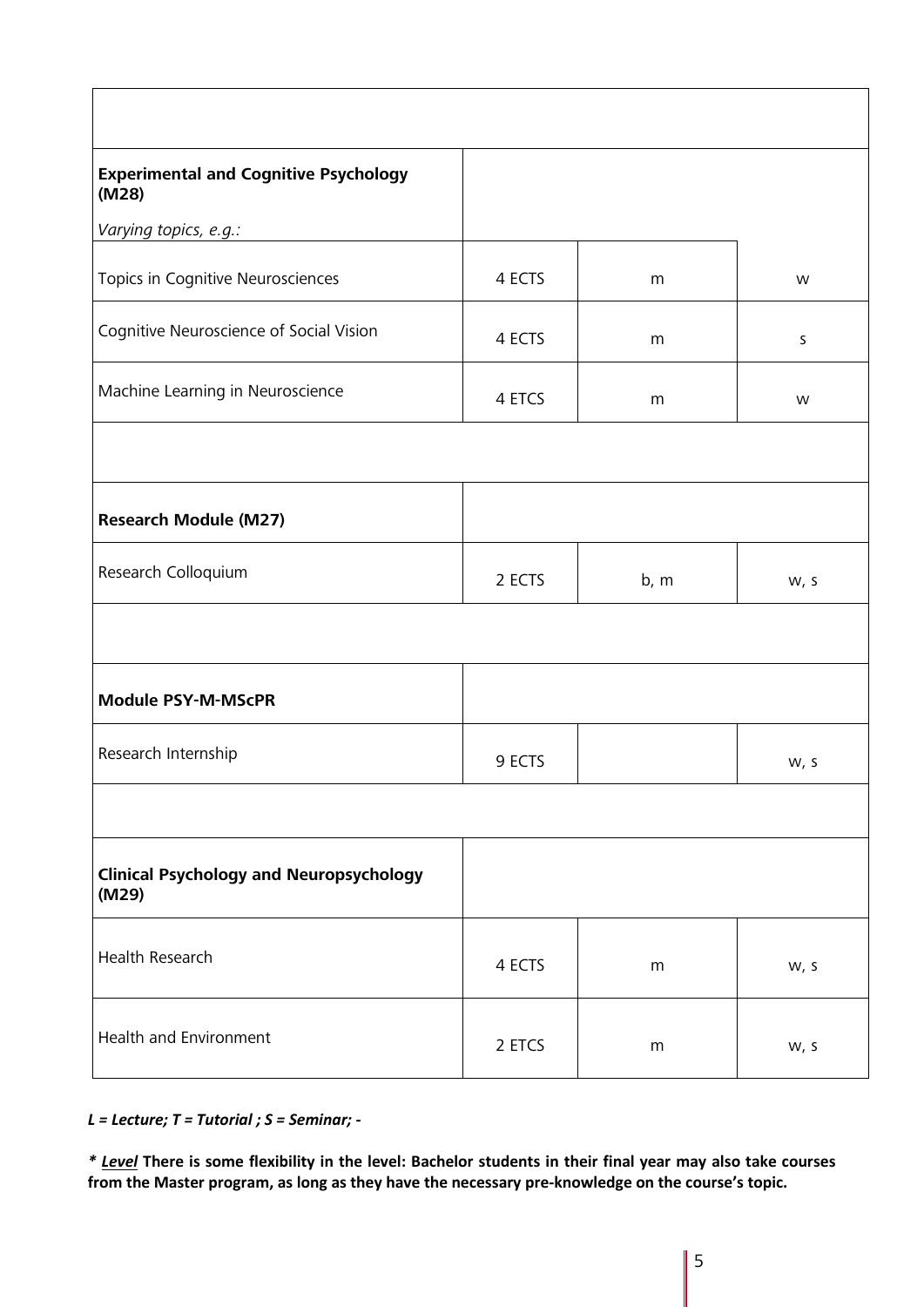| <b>Experimental and Cognitive Psychology</b><br>(M28)   |        |      |         |
|---------------------------------------------------------|--------|------|---------|
| Varying topics, e.g.:                                   |        |      |         |
| Topics in Cognitive Neurosciences                       | 4 ECTS | m    | W       |
| Cognitive Neuroscience of Social Vision                 | 4 ECTS | m    | $\sf S$ |
| Machine Learning in Neuroscience                        | 4 ETCS | m    | W       |
|                                                         |        |      |         |
| <b>Research Module (M27)</b>                            |        |      |         |
| Research Colloquium                                     | 2 ECTS | b, m | W, S    |
|                                                         |        |      |         |
| <b>Module PSY-M-MScPR</b>                               |        |      |         |
| Research Internship                                     | 9 ECTS |      | w, s    |
|                                                         |        |      |         |
| <b>Clinical Psychology and Neuropsychology</b><br>(M29) |        |      |         |
| Health Research                                         | 4 ECTS | m    | W, S    |
| Health and Environment                                  | 2 ETCS | m    | W, S    |

*L = Lecture; T = Tutorial ; S = Seminar; -*

*\* Level* **There is some flexibility in the level: Bachelor students in their final year may also take courses from the Master program, as long as they have the necessary pre-knowledge on the course's topic.**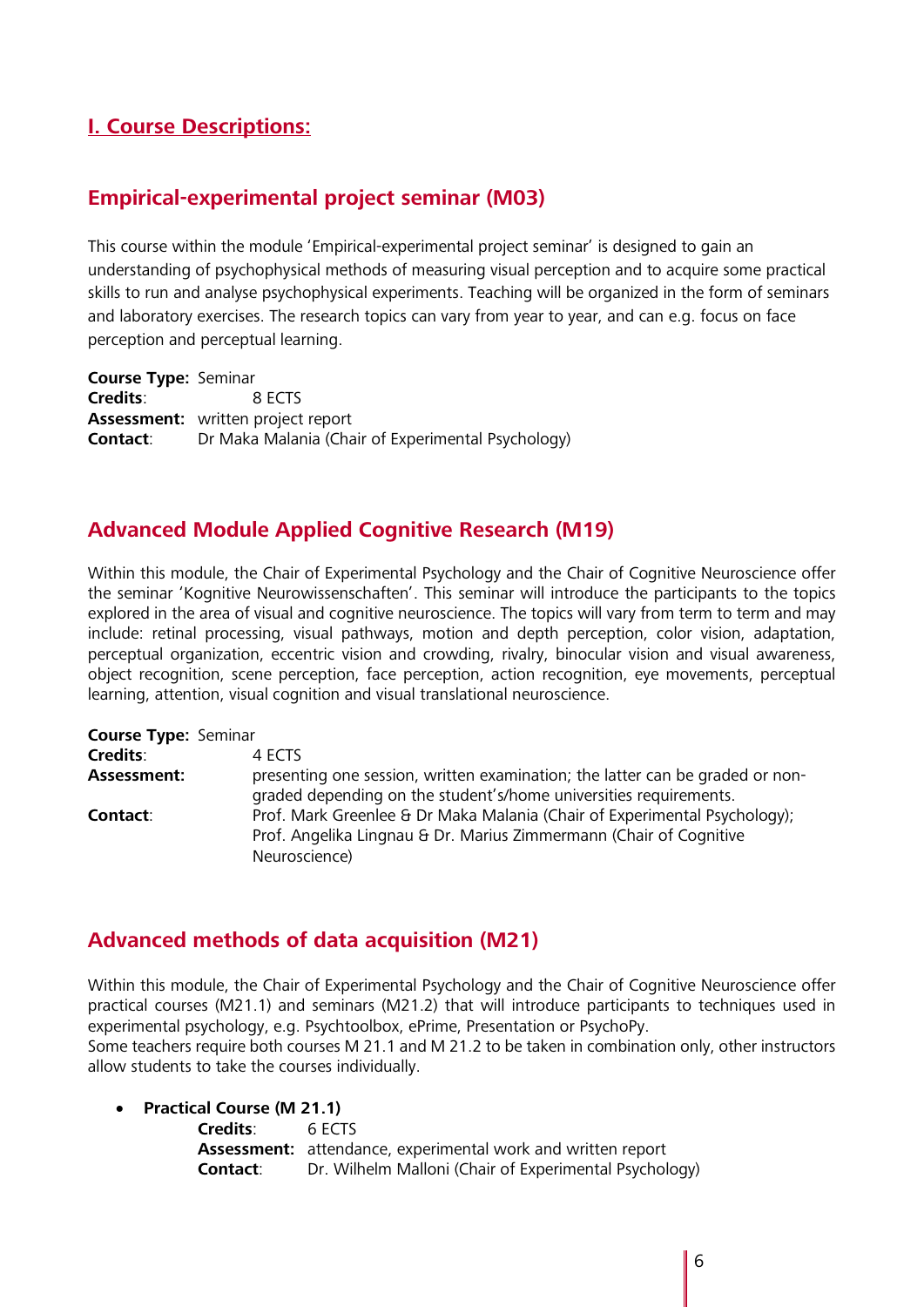## **I. Course Descriptions:**

### **Empirical-experimental project seminar (M03)**

This course within the module 'Empirical-experimental project seminar' is designed to gain an understanding of psychophysical methods of measuring visual perception and to acquire some practical skills to run and analyse psychophysical experiments. Teaching will be organized in the form of seminars and laboratory exercises. The research topics can vary from year to year, and can e.g. focus on face perception and perceptual learning.

**Course Type:** Seminar **Credits**: 8 ECTS **Assessment:** written project report **Contact:** Dr Maka Malania (Chair of Experimental Psychology)

## **Advanced Module Applied Cognitive Research (M19)**

Within this module, the Chair of Experimental Psychology and the Chair of Cognitive Neuroscience offer the seminar 'Kognitive Neurowissenschaften'. This seminar will introduce the participants to the topics explored in the area of visual and cognitive neuroscience. The topics will vary from term to term and may include: retinal processing, visual pathways, motion and depth perception, color vision, adaptation, perceptual organization, eccentric vision and crowding, rivalry, binocular vision and visual awareness, object recognition, scene perception, face perception, action recognition, eye movements, perceptual learning, attention, visual cognition and visual translational neuroscience.

| <b>Course Type: Seminar</b> |                                                                                                                                                                  |
|-----------------------------|------------------------------------------------------------------------------------------------------------------------------------------------------------------|
| <b>Credits:</b>             | 4 ECTS                                                                                                                                                           |
| Assessment:                 | presenting one session, written examination; the latter can be graded or non-<br>graded depending on the student's/home universities requirements.               |
| Contact:                    | Prof. Mark Greenlee & Dr Maka Malania (Chair of Experimental Psychology);<br>Prof. Angelika Lingnau & Dr. Marius Zimmermann (Chair of Cognitive<br>Neuroscience) |

### **Advanced methods of data acquisition (M21)**

Within this module, the Chair of Experimental Psychology and the Chair of Cognitive Neuroscience offer practical courses (M21.1) and seminars (M21.2) that will introduce participants to techniques used in experimental psychology, e.g. Psychtoolbox, ePrime, Presentation or PsychoPy.

Some teachers require both courses M 21.1 and M 21.2 to be taken in combination only, other instructors allow students to take the courses individually.

• **Practical Course (M 21.1)**

| Credits: | 6 FCTS                                                              |
|----------|---------------------------------------------------------------------|
|          | <b>Assessment:</b> attendance, experimental work and written report |
| Contact: | Dr. Wilhelm Malloni (Chair of Experimental Psychology)              |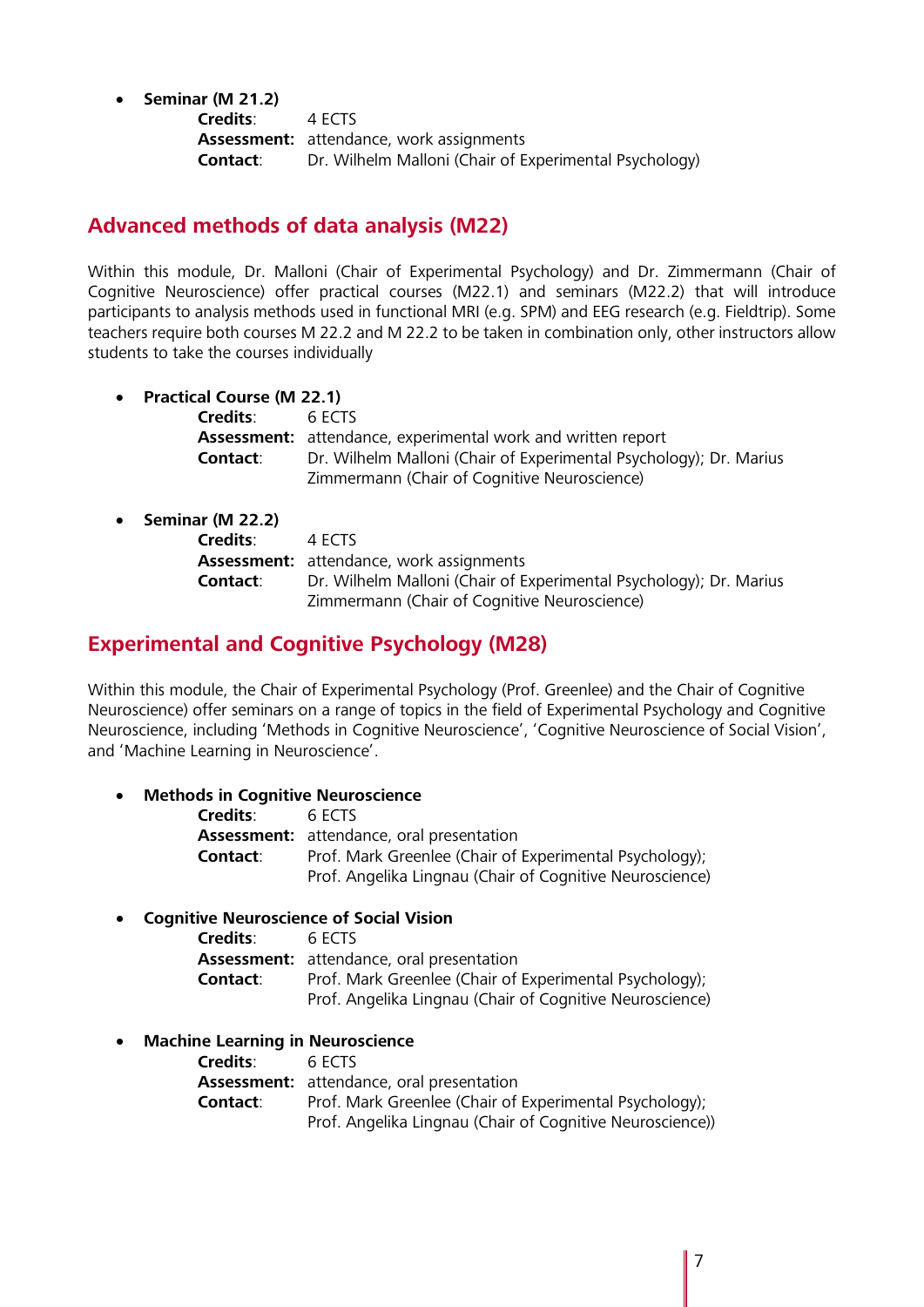• **Seminar (M 21.2)**

**Credits**: 4 ECTS **Assessment:** attendance, work assignments **Contact**: Dr. Wilhelm Malloni (Chair of Experimental Psychology)

## **Advanced methods of data analysis (M22)**

Within this module, Dr. Malloni (Chair of Experimental Psychology) and Dr. Zimmermann (Chair of Cognitive Neuroscience) offer practical courses (M22.1) and seminars (M22.2) that will introduce participants to analysis methods used in functional MRI (e.g. SPM) and EEG research (e.g. Fieldtrip). Some teachers require both courses M 22.2 and M 22.2 to be taken in combination only, other instructors allow students to take the courses individually

• **Practical Course (M 22.1)**

| Credits: | 6 FCTS                                                              |
|----------|---------------------------------------------------------------------|
|          | <b>Assessment:</b> attendance, experimental work and written report |
| Contact: | Dr. Wilhelm Malloni (Chair of Experimental Psychology); Dr. Marius  |
|          | Zimmermann (Chair of Cognitive Neuroscience)                        |

| • Seminar (M 22.2) |                                                                    |
|--------------------|--------------------------------------------------------------------|
| Credits:           | 4 FCTS                                                             |
|                    | <b>Assessment:</b> attendance, work assignments                    |
| Contact:           | Dr. Wilhelm Malloni (Chair of Experimental Psychology); Dr. Marius |
|                    | Zimmermann (Chair of Cognitive Neuroscience)                       |

## **Experimental and Cognitive Psychology (M28)**

Within this module, the Chair of Experimental Psychology (Prof. Greenlee) and the Chair of Cognitive Neuroscience) offer seminars on a range of topics in the field of Experimental Psychology and Cognitive Neuroscience, including 'Methods in Cognitive Neuroscience', 'Cognitive Neuroscience of Social Vision', and 'Machine Learning in Neuroscience'.

#### • **Methods in Cognitive Neuroscience**

| <b>Credits:</b> | 6 FCTS                                                   |
|-----------------|----------------------------------------------------------|
|                 | <b>Assessment:</b> attendance, oral presentation         |
| Contact:        | Prof. Mark Greenlee (Chair of Experimental Psychology);  |
|                 | Prof. Angelika Lingnau (Chair of Cognitive Neuroscience) |

#### • **Cognitive Neuroscience of Social Vision**

| Credits: | 6 FCTS                                                   |
|----------|----------------------------------------------------------|
|          | <b>Assessment:</b> attendance, oral presentation         |
| Contact: | Prof. Mark Greenlee (Chair of Experimental Psychology);  |
|          | Prof. Angelika Lingnau (Chair of Cognitive Neuroscience) |

#### • **Machine Learning in Neuroscience**

| <b>Credits:</b> | 6 ECTS                                                    |
|-----------------|-----------------------------------------------------------|
|                 | <b>Assessment:</b> attendance, oral presentation          |
| Contact:        | Prof. Mark Greenlee (Chair of Experimental Psychology);   |
|                 | Prof. Angelika Lingnau (Chair of Cognitive Neuroscience)) |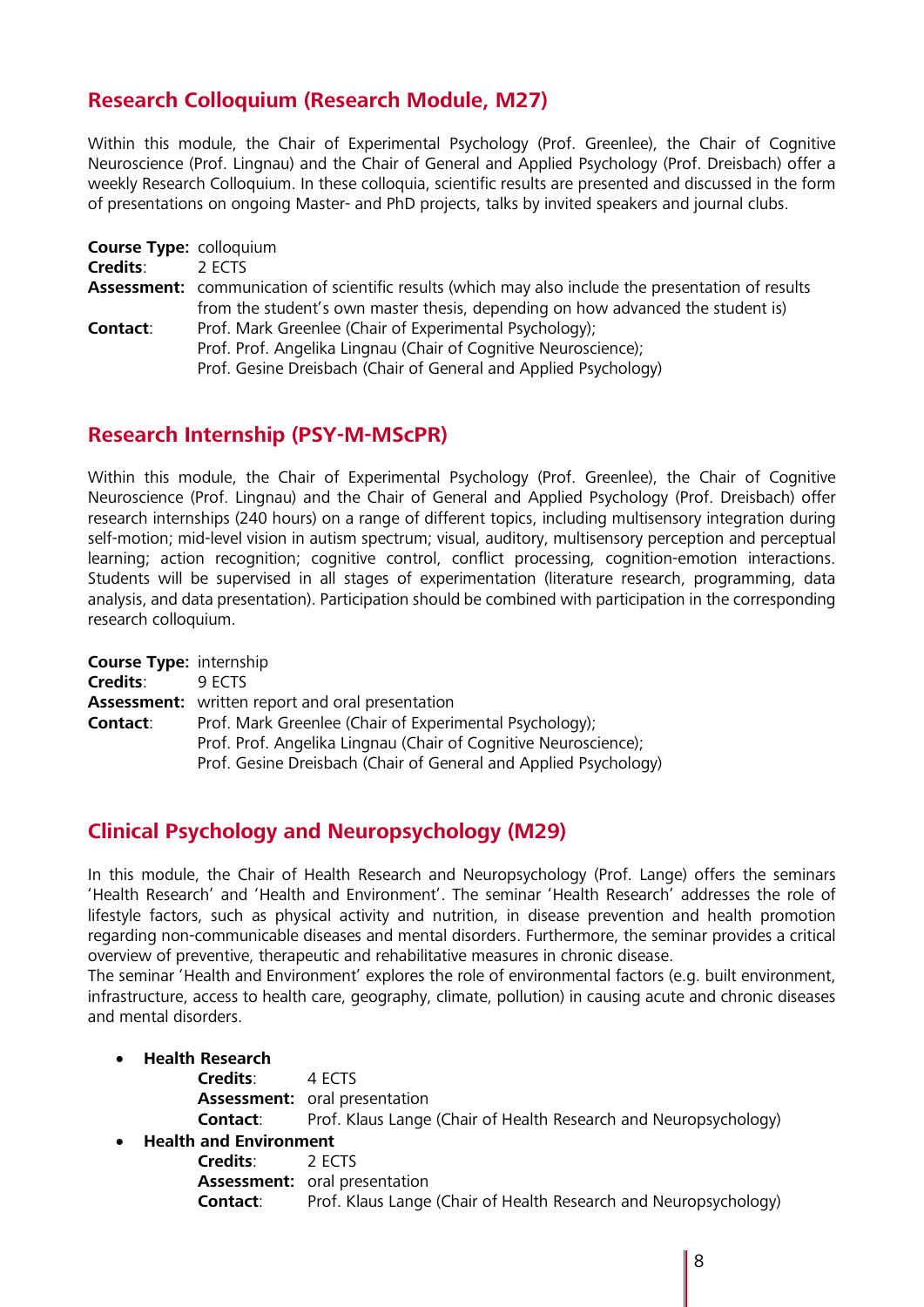## **Research Colloquium (Research Module, M27)**

Within this module, the Chair of Experimental Psychology (Prof. Greenlee), the Chair of Cognitive Neuroscience (Prof. Lingnau) and the Chair of General and Applied Psychology (Prof. Dreisbach) offer a weekly Research Colloquium. In these colloquia, scientific results are presented and discussed in the form of presentations on ongoing Master- and PhD projects, talks by invited speakers and journal clubs.

| <b>Course Type: colloquium</b> |                                                                                                                                                                                                |
|--------------------------------|------------------------------------------------------------------------------------------------------------------------------------------------------------------------------------------------|
| <b>Credits:</b>                | 2 FCTS                                                                                                                                                                                         |
|                                | Assessment: communication of scientific results (which may also include the presentation of results<br>from the student's own master thesis, depending on how advanced the student is)         |
| Contact:                       | Prof. Mark Greenlee (Chair of Experimental Psychology);<br>Prof. Prof. Angelika Lingnau (Chair of Cognitive Neuroscience);<br>Prof. Gesine Dreisbach (Chair of General and Applied Psychology) |

#### **Research Internship (PSY-M-MScPR)**

Within this module, the Chair of Experimental Psychology (Prof. Greenlee), the Chair of Cognitive Neuroscience (Prof. Lingnau) and the Chair of General and Applied Psychology (Prof. Dreisbach) offer research internships (240 hours) on a range of different topics, including multisensory integration during self-motion; mid-level vision in autism spectrum; visual, auditory, multisensory perception and perceptual learning; action recognition; cognitive control, conflict processing, cognition-emotion interactions. Students will be supervised in all stages of experimentation (literature research, programming, data analysis, and data presentation). Participation should be combined with participation in the corresponding research colloquium.

| <b>Course Type: internship</b> |                                                                  |
|--------------------------------|------------------------------------------------------------------|
| <b>Credits:</b>                | 9 FCTS                                                           |
|                                | <b>Assessment:</b> written report and oral presentation          |
| Contact:                       | Prof. Mark Greenlee (Chair of Experimental Psychology);          |
|                                | Prof. Prof. Angelika Lingnau (Chair of Cognitive Neuroscience);  |
|                                | Prof. Gesine Dreisbach (Chair of General and Applied Psychology) |

### **Clinical Psychology and Neuropsychology (M29)**

In this module, the Chair of Health Research and Neuropsychology (Prof. Lange) offers the seminars 'Health Research' and 'Health and Environment'. The seminar 'Health Research' addresses the role of lifestyle factors, such as physical activity and nutrition, in disease prevention and health promotion regarding non-communicable diseases and mental disorders. Furthermore, the seminar provides a critical overview of preventive, therapeutic and rehabilitative measures in chronic disease.

The seminar 'Health and Environment' explores the role of environmental factors (e.g. built environment, infrastructure, access to health care, geography, climate, pollution) in causing acute and chronic diseases and mental disorders.

• **Health Research**

**Credits**: 4 ECTS **Assessment:** oral presentation **Contact**: Prof. Klaus Lange (Chair of Health Research and Neuropsychology)

• **Health and Environment**

**Credits**: 2 ECTS **Assessment:** oral presentation **Contact**: Prof. Klaus Lange (Chair of Health Research and Neuropsychology)